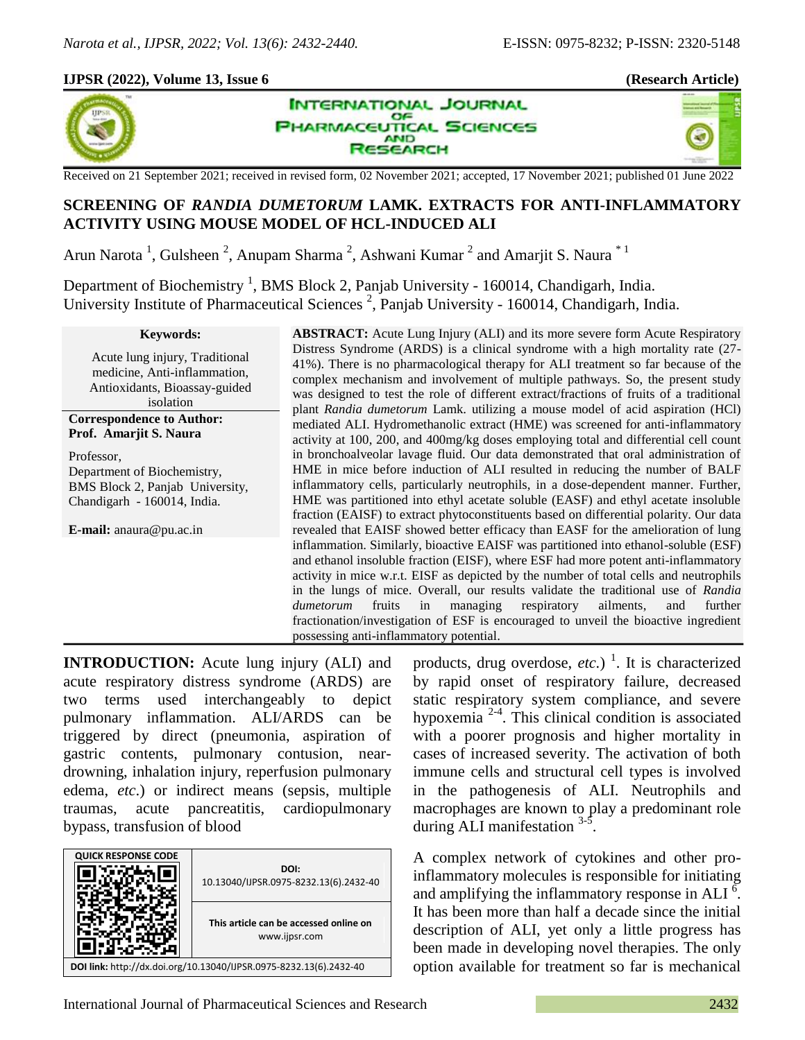### **IJPSR (2022), Volume 13, Issue 6 (Research Article)**



**INTERNATIONAL JOURNAL** OF **IARMACEUTICAL SCIENCES AND** SEARCH





Received on 21 September 2021; received in revised form, 02 November 2021; accepted, 17 November 2021; published 01 June 2022

# **SCREENING OF** *RANDIA DUMETORUM* **LAMK. EXTRACTS FOR ANTI-INFLAMMATORY ACTIVITY USING MOUSE MODEL OF HCL-INDUCED ALI**

Arun Narota<sup>1</sup>, Gulsheen<sup>2</sup>, Anupam Sharma<sup>2</sup>, Ashwani Kumar<sup>2</sup> and Amarjit S. Naura<sup>\*1</sup>

Department of Biochemistry<sup>1</sup>, BMS Block 2, Panjab University - 160014, Chandigarh, India. University Institute of Pharmaceutical Sciences<sup>2</sup>, Panjab University - 160014, Chandigarh, India.

#### **Keywords:**

Acute lung injury, Traditional medicine, Anti-inflammation, Antioxidants, Bioassay-guided isolation

#### **Correspondence to Author: Prof. Amarjit S. Naura**

Professor, Department of Biochemistry, BMS Block 2, Panjab University, Chandigarh - 160014, India.

**E-mail:** anaura@pu.ac.in

**ABSTRACT:** Acute Lung Injury (ALI) and its more severe form Acute Respiratory Distress Syndrome (ARDS) is a clinical syndrome with a high mortality rate (27- 41%). There is no pharmacological therapy for ALI treatment so far because of the complex mechanism and involvement of multiple pathways. So, the present study was designed to test the role of different extract/fractions of fruits of a traditional plant *Randia dumetorum* Lamk. utilizing a mouse model of acid aspiration (HCl) mediated ALI. Hydromethanolic extract (HME) was screened for anti-inflammatory activity at 100, 200, and 400mg/kg doses employing total and differential cell count in bronchoalveolar lavage fluid. Our data demonstrated that oral administration of HME in mice before induction of ALI resulted in reducing the number of BALF inflammatory cells, particularly neutrophils, in a dose-dependent manner. Further, HME was partitioned into ethyl acetate soluble (EASF) and ethyl acetate insoluble fraction (EAISF) to extract phytoconstituents based on differential polarity. Our data revealed that EAISF showed better efficacy than EASF for the amelioration of lung inflammation. Similarly, bioactive EAISF was partitioned into ethanol-soluble (ESF) and ethanol insoluble fraction (EISF), where ESF had more potent anti-inflammatory activity in mice w.r.t. EISF as depicted by the number of total cells and neutrophils in the lungs of mice. Overall, our results validate the traditional use of *Randia dumetorum* fruits in managing respiratory ailments, and further fractionation/investigation of ESF is encouraged to unveil the bioactive ingredient possessing anti-inflammatory potential.

**INTRODUCTION:** Acute lung injury (ALI) and acute respiratory distress syndrome (ARDS) are two terms used interchangeably to depict pulmonary inflammation. ALI/ARDS can be triggered by direct (pneumonia, aspiration of gastric contents, pulmonary contusion, neardrowning, inhalation injury, reperfusion pulmonary edema, *etc*.) or indirect means (sepsis, multiple traumas, acute pancreatitis, cardiopulmonary bypass, transfusion of blood

| <b>QUICK RESPONSE CODE</b>                                         | DOI:<br>10.13040/IJPSR.0975-8232.13(6).2432-40          |  |
|--------------------------------------------------------------------|---------------------------------------------------------|--|
|                                                                    | This article can be accessed online on<br>www.ijpsr.com |  |
| DOI link: http://dx.doi.org/10.13040/IJPSR.0975-8232.13(6).2432-40 |                                                         |  |

products, drug overdose, *etc.*)<sup>1</sup>. It is characterized by rapid onset of respiratory failure, decreased static respiratory system compliance, and severe hypoxemia  $2-4$ . This clinical condition is associated with a poorer prognosis and higher mortality in cases of increased severity. The activation of both immune cells and structural cell types is involved in the pathogenesis of ALI. Neutrophils and macrophages are known to play a predominant role during ALI manifestation  $3-5$ .

A complex network of cytokines and other proinflammatory molecules is responsible for initiating and amplifying the inflammatory response in ALI $\frac{6}{1}$ . It has been more than half a decade since the initial description of ALI, yet only a little progress has been made in developing novel therapies. The only option available for treatment so far is mechanical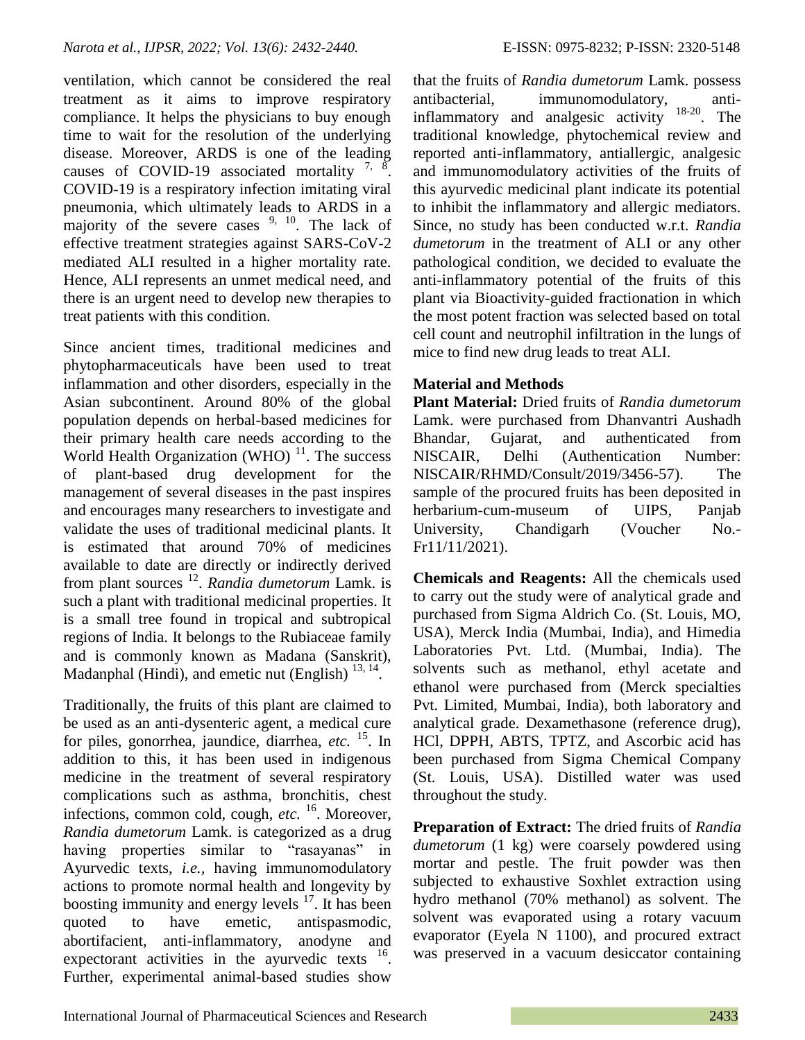ventilation, which cannot be considered the real treatment as it aims to improve respiratory compliance. It helps the physicians to buy enough time to wait for the resolution of the underlying disease. Moreover, ARDS is one of the leading causes of COVID-19 associated mortality  $7, 8$ . COVID-19 is a respiratory infection imitating viral pneumonia, which ultimately leads to ARDS in a majority of the severe cases  $9, 10$ . The lack of effective treatment strategies against SARS-CoV-2 mediated ALI resulted in a higher mortality rate. Hence, ALI represents an unmet medical need, and there is an urgent need to develop new therapies to treat patients with this condition.

Since ancient times, traditional medicines and phytopharmaceuticals have been used to treat inflammation and other disorders, especially in the Asian subcontinent. Around 80% of the global population depends on herbal-based medicines for their primary health care needs according to the World Health Organization (WHO) $<sup>11</sup>$ . The success</sup> of plant-based drug development for the management of several diseases in the past inspires and encourages many researchers to investigate and validate the uses of traditional medicinal plants. It is estimated that around 70% of medicines available to date are directly or indirectly derived from plant sources <sup>12</sup> . *Randia dumetorum* Lamk. is such a plant with traditional medicinal properties. It is a small tree found in tropical and subtropical regions of India. It belongs to the Rubiaceae family and is commonly known as Madana (Sanskrit), Madanphal (Hindi), and emetic nut (English)  $13, 14$ .

Traditionally, the fruits of this plant are claimed to be used as an anti-dysenteric agent, a medical cure for piles, gonorrhea, jaundice, diarrhea, *etc.* <sup>15</sup>. In addition to this, it has been used in indigenous medicine in the treatment of several respiratory complications such as asthma, bronchitis, chest infections, common cold, cough, *etc.* <sup>16</sup>. Moreover, *Randia dumetorum* Lamk. is categorized as a drug having properties similar to "rasayanas" in Ayurvedic texts, *i.e.,* having immunomodulatory actions to promote normal health and longevity by boosting immunity and energy levels  $17$ . It has been quoted to have emetic, antispasmodic, abortifacient, anti-inflammatory, anodyne and expectorant activities in the ayurvedic texts <sup>16</sup>. Further, experimental animal-based studies show

that the fruits of *Randia dumetorum* Lamk. possess antibacterial, immunomodulatory, antiinflammatory and analgesic activity  $18-20$ . The traditional knowledge, phytochemical review and reported anti-inflammatory, antiallergic, analgesic and immunomodulatory activities of the fruits of this ayurvedic medicinal plant indicate its potential to inhibit the inflammatory and allergic mediators. Since, no study has been conducted w.r.t. *Randia dumetorum* in the treatment of ALI or any other pathological condition, we decided to evaluate the anti-inflammatory potential of the fruits of this plant via Bioactivity-guided fractionation in which the most potent fraction was selected based on total cell count and neutrophil infiltration in the lungs of mice to find new drug leads to treat ALI.

## **Material and Methods**

**Plant Material:** Dried fruits of *Randia dumetorum* Lamk. were purchased from Dhanvantri Aushadh Bhandar, Gujarat, and authenticated from NISCAIR, Delhi (Authentication Number: NISCAIR/RHMD/Consult/2019/3456-57). The sample of the procured fruits has been deposited in herbarium-cum-museum of UIPS, Panjab University, Chandigarh (Voucher No.-Fr11/11/2021).

**Chemicals and Reagents:** All the chemicals used to carry out the study were of analytical grade and purchased from Sigma Aldrich Co. (St. Louis, MO, USA), Merck India (Mumbai, India), and Himedia Laboratories Pvt. Ltd. (Mumbai, India). The solvents such as methanol, ethyl acetate and ethanol were purchased from (Merck specialties Pvt. Limited, Mumbai, India), both laboratory and analytical grade. Dexamethasone (reference drug), HCl, DPPH, ABTS, TPTZ, and Ascorbic acid has been purchased from Sigma Chemical Company (St. Louis, USA). Distilled water was used throughout the study.

**Preparation of Extract:** The dried fruits of *Randia dumetorum* (1 kg) were coarsely powdered using mortar and pestle. The fruit powder was then subjected to exhaustive Soxhlet extraction using hydro methanol (70% methanol) as solvent. The solvent was evaporated using a rotary vacuum evaporator (Eyela N 1100), and procured extract was preserved in a vacuum desiccator containing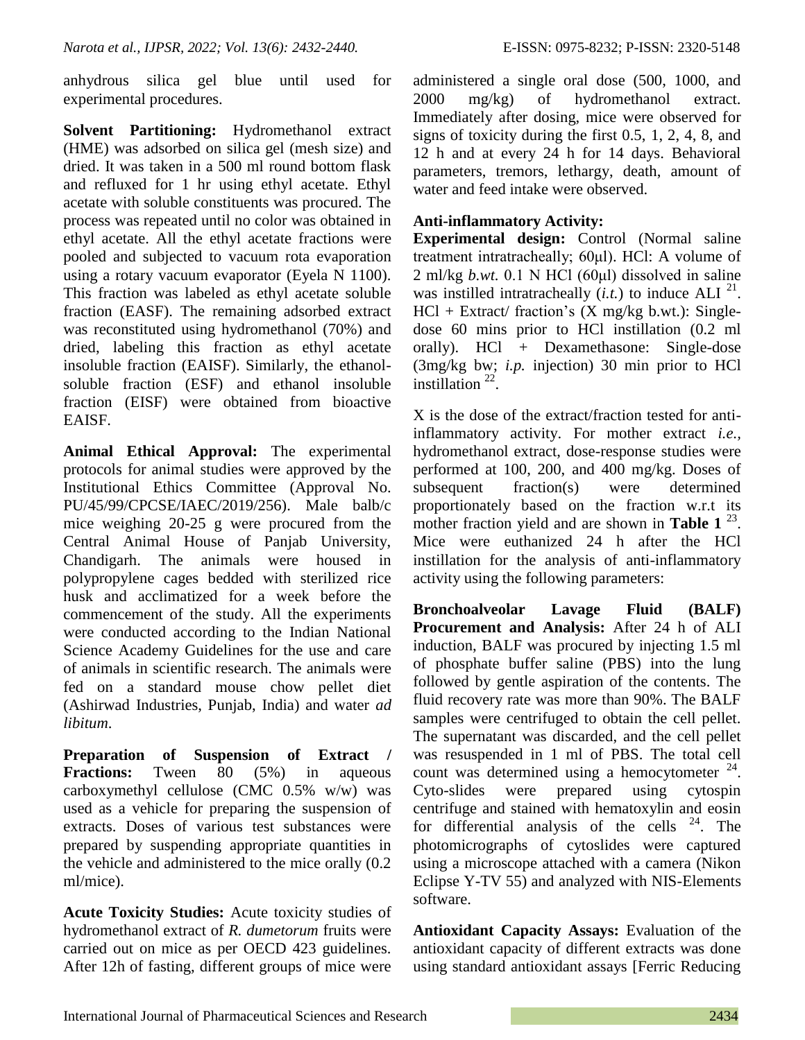anhydrous silica gel blue until used for experimental procedures.

**Solvent Partitioning:** Hydromethanol extract (HME) was adsorbed on silica gel (mesh size) and dried. It was taken in a 500 ml round bottom flask and refluxed for 1 hr using ethyl acetate. Ethyl acetate with soluble constituents was procured. The process was repeated until no color was obtained in ethyl acetate. All the ethyl acetate fractions were pooled and subjected to vacuum rota evaporation using a rotary vacuum evaporator (Eyela N 1100). This fraction was labeled as ethyl acetate soluble fraction (EASF). The remaining adsorbed extract was reconstituted using hydromethanol (70%) and dried, labeling this fraction as ethyl acetate insoluble fraction (EAISF). Similarly, the ethanolsoluble fraction (ESF) and ethanol insoluble fraction (EISF) were obtained from bioactive EAISF.

**Animal Ethical Approval:** The experimental protocols for animal studies were approved by the Institutional Ethics Committee (Approval No. PU/45/99/CPCSE/IAEC/2019/256). Male balb/c mice weighing 20-25 g were procured from the Central Animal House of Panjab University, Chandigarh. The animals were housed in polypropylene cages bedded with sterilized rice husk and acclimatized for a week before the commencement of the study. All the experiments were conducted according to the Indian National Science Academy Guidelines for the use and care of animals in scientific research. The animals were fed on a standard mouse chow pellet diet (Ashirwad Industries, Punjab, India) and water *ad libitum*.

**Preparation of Suspension of Extract / Fractions:** Tween 80 (5%) in aqueous carboxymethyl cellulose (CMC 0.5% w/w) was used as a vehicle for preparing the suspension of extracts. Doses of various test substances were prepared by suspending appropriate quantities in the vehicle and administered to the mice orally (0.2 ml/mice).

**Acute Toxicity Studies:** Acute toxicity studies of hydromethanol extract of *R. dumetorum* fruits were carried out on mice as per OECD 423 guidelines. After 12h of fasting, different groups of mice were

administered a single oral dose (500, 1000, and 2000 mg/kg) of hydromethanol extract. Immediately after dosing, mice were observed for signs of toxicity during the first 0.5, 1, 2, 4, 8, and 12 h and at every 24 h for 14 days. Behavioral parameters, tremors, lethargy, death, amount of water and feed intake were observed.

## **Anti-inflammatory Activity:**

**Experimental design:** Control (Normal saline treatment intratracheally; 60μl). HCl: A volume of 2 ml/kg *b.wt.* 0.1 N HCl (60μl) dissolved in saline was instilled intratracheally  $(i.t.)$  to induce ALI  $^{21}$ .  $HCl + Extract/ fraction's (X mg/kg b.wt.)$ : Singledose 60 mins prior to HCl instillation (0.2 ml orally). HCl + Dexamethasone: Single-dose (3mg/kg bw; *i.p.* injection) 30 min prior to HCl instillation  $^{22}$ .

X is the dose of the extract/fraction tested for antiinflammatory activity. For mother extract *i.e.,* hydromethanol extract, dose-response studies were performed at 100, 200, and 400 mg/kg. Doses of subsequent fraction(s) were determined proportionately based on the fraction w.r.t its mother fraction yield and are shown in **Table 1**<sup>23</sup>. Mice were euthanized 24 h after the HCl instillation for the analysis of anti-inflammatory activity using the following parameters:

**Bronchoalveolar Lavage Fluid (BALF) Procurement and Analysis:** After 24 h of ALI induction, BALF was procured by injecting 1.5 ml of phosphate buffer saline (PBS) into the lung followed by gentle aspiration of the contents. The fluid recovery rate was more than 90%. The BALF samples were centrifuged to obtain the cell pellet. The supernatant was discarded, and the cell pellet was resuspended in 1 ml of PBS. The total cell count was determined using a hemocytometer  $24$ . Cyto-slides were prepared using cytospin centrifuge and stained with hematoxylin and eosin for differential analysis of the cells  $24$ . The photomicrographs of cytoslides were captured using a microscope attached with a camera (Nikon Eclipse Y-TV 55) and analyzed with NIS-Elements software.

**Antioxidant Capacity Assays:** Evaluation of the antioxidant capacity of different extracts was done using standard antioxidant assays [Ferric Reducing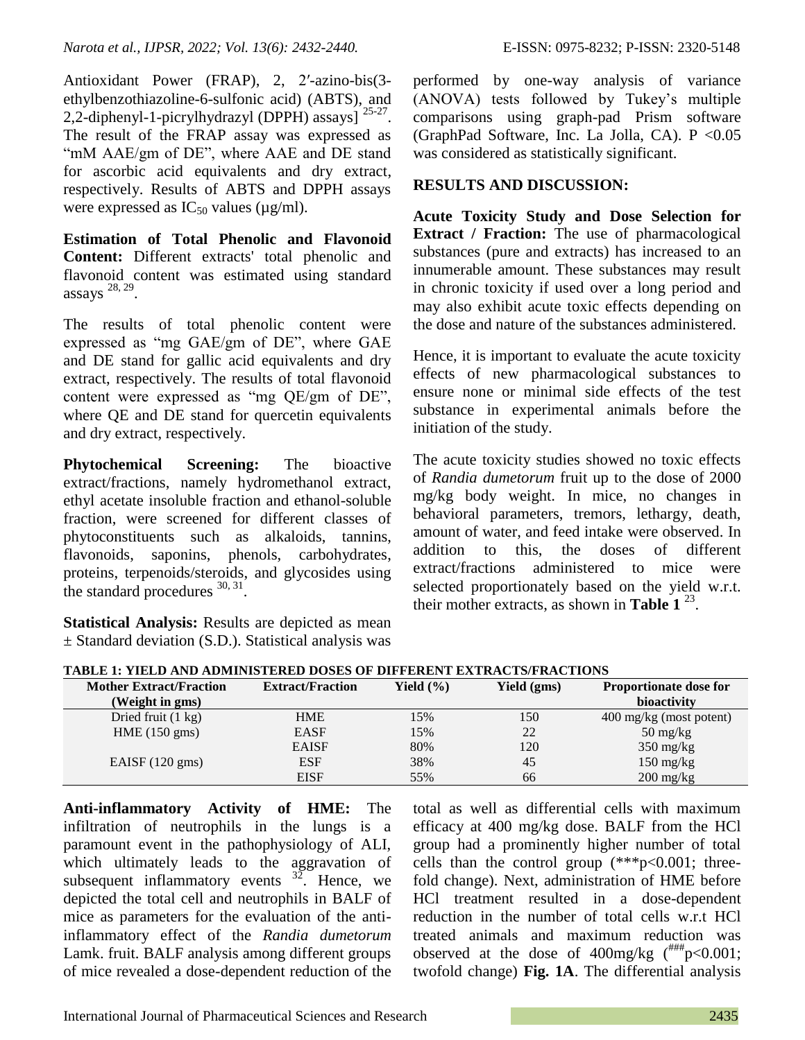*Narota et al., IJPSR, 2022; Vol. 13(6): 2432-2440.* E-ISSN: 0975-8232; P-ISSN: 2320-5148

Antioxidant Power (FRAP), 2, 2′-azino-bis(3 ethylbenzothiazoline-6-sulfonic acid) (ABTS), and 2,2-diphenyl-1-picrylhydrazyl (DPPH) assays]  $25-27$ . The result of the FRAP assay was expressed as "mM AAE/gm of DE", where AAE and DE stand for ascorbic acid equivalents and dry extract, respectively. Results of ABTS and DPPH assays were expressed as  $IC_{50}$  values ( $\mu$ g/ml).

**Estimation of Total Phenolic and Flavonoid Content:** Different extracts' total phenolic and flavonoid content was estimated using standard assays  $28, 29$ .

The results of total phenolic content were expressed as "mg GAE/gm of DE", where GAE and DE stand for gallic acid equivalents and dry extract, respectively. The results of total flavonoid content were expressed as "mg QE/gm of DE", where QE and DE stand for quercetin equivalents and dry extract, respectively.

**Phytochemical Screening:** The bioactive extract/fractions, namely hydromethanol extract, ethyl acetate insoluble fraction and ethanol-soluble fraction, were screened for different classes of phytoconstituents such as alkaloids, tannins, flavonoids, saponins, phenols, carbohydrates, proteins, terpenoids/steroids, and glycosides using the standard procedures  $30, 31$ .

**Statistical Analysis:** Results are depicted as mean  $\pm$  Standard deviation (S.D.). Statistical analysis was

performed by one-way analysis of variance (ANOVA) tests followed by Tukey"s multiple comparisons using graph-pad Prism software (GraphPad Software, Inc. La Jolla, CA).  $P < 0.05$ was considered as statistically significant.

## **RESULTS AND DISCUSSION:**

**Acute Toxicity Study and Dose Selection for Extract / Fraction:** The use of pharmacological substances (pure and extracts) has increased to an innumerable amount. These substances may result in chronic toxicity if used over a long period and may also exhibit acute toxic effects depending on the dose and nature of the substances administered.

Hence, it is important to evaluate the acute toxicity effects of new pharmacological substances to ensure none or minimal side effects of the test substance in experimental animals before the initiation of the study.

The acute toxicity studies showed no toxic effects of *Randia dumetorum* fruit up to the dose of 2000 mg/kg body weight. In mice, no changes in behavioral parameters, tremors, lethargy, death, amount of water, and feed intake were observed. In addition to this, the doses of different extract/fractions administered to mice were selected proportionately based on the yield w.r.t. their mother extracts, as shown in **Table 1**<sup>23</sup>.

| TABLE 1: TIELD AND ADMINISTERED DOSES OF DIFFERENT EXTRACTS/FRACTIONS |                         |               |             |                                   |
|-----------------------------------------------------------------------|-------------------------|---------------|-------------|-----------------------------------|
| <b>Mother Extract/Fraction</b>                                        | <b>Extract/Fraction</b> | Yield $(\% )$ | Yield (gms) | <b>Proportionate dose for</b>     |
| (Weight in gms)                                                       |                         |               |             | bioactivity                       |
| Dried fruit $(1 \text{ kg})$                                          | HME                     | 15%           | 150         | $400 \text{ mg/kg}$ (most potent) |
| HME (150 gms)                                                         | <b>EASF</b>             | 15%           | 22          | $50 \frac{\text{mg}}{\text{kg}}$  |
|                                                                       | <b>EAISF</b>            | 80%           | 120         | $350 \text{ mg/kg}$               |
| EAISF $(120 \text{ gms})$                                             | <b>ESF</b>              | 38%           | 45          | $150 \text{ mg/kg}$               |
|                                                                       | <b>EISF</b>             | 55%           | 66          | $200 \frac{\text{mg}}{\text{kg}}$ |

**TABLE 1: YIELD AND ADMINISTERED DOSES OF DIFFERENT EXTRA CTICED A CITIONS** 

**Anti-inflammatory Activity of HME:** The infiltration of neutrophils in the lungs is a paramount event in the pathophysiology of ALI, which ultimately leads to the aggravation of subsequent inflammatory events  $32^{2}$ . Hence, we depicted the total cell and neutrophils in BALF of mice as parameters for the evaluation of the antiinflammatory effect of the *Randia dumetorum* Lamk. fruit. BALF analysis among different groups of mice revealed a dose-dependent reduction of the

total as well as differential cells with maximum efficacy at 400 mg/kg dose. BALF from the HCl group had a prominently higher number of total cells than the control group  $(***p<0.001;$  threefold change). Next, administration of HME before HCl treatment resulted in a dose-dependent reduction in the number of total cells w.r.t HCl treated animals and maximum reduction was observed at the dose of 400mg/kg  $(^{#H#}_{p} < 0.001$ ; twofold change) **Fig. 1A**. The differential analysis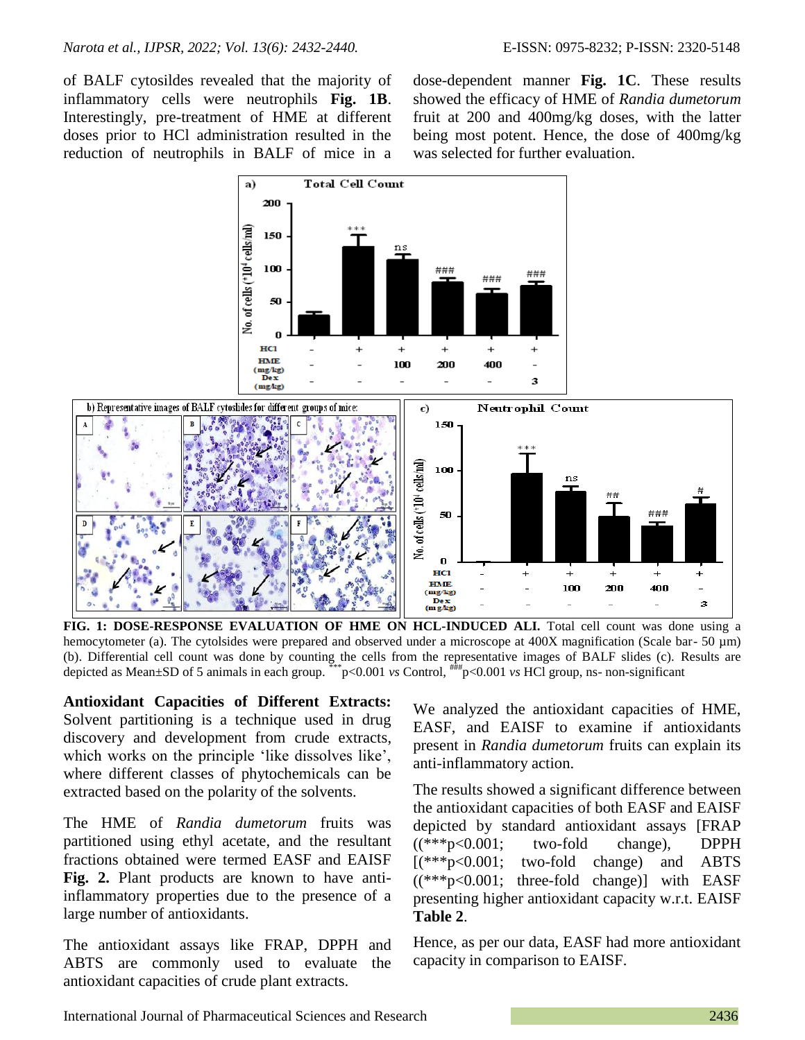of BALF cytosildes revealed that the majority of inflammatory cells were neutrophils **Fig. 1B**. Interestingly, pre-treatment of HME at different doses prior to HCl administration resulted in the reduction of neutrophils in BALF of mice in a

a)

dose-dependent manner **Fig. 1C**. These results showed the efficacy of HME of *Randia dumetorum* fruit at 200 and 400mg/kg doses, with the latter being most potent. Hence, the dose of 400mg/kg was selected for further evaluation.



**Total Cell Count** 

**FIG. 1: DOSE-RESPONSE EVALUATION OF HME ON HCL-INDUCED ALI.** Total cell count was done using a hemocytometer (a). The cytolsides were prepared and observed under a microscope at 400X magnification (Scale bar- 50 µm) (b). Differential cell count was done by counting the cells from the representative images of BALF slides (c). Results are depicted as Mean±SD of 5 animals in each group. \*\*\*p<0.001 *vs* Control, ###p<0.001 *vs* HCl group, ns- non-significant

**Antioxidant Capacities of Different Extracts:** Solvent partitioning is a technique used in drug discovery and development from crude extracts, which works on the principle 'like dissolves like', where different classes of phytochemicals can be extracted based on the polarity of the solvents.

The HME of *Randia dumetorum* fruits was partitioned using ethyl acetate, and the resultant fractions obtained were termed EASF and EAISF **Fig. 2.** Plant products are known to have antiinflammatory properties due to the presence of a large number of antioxidants.

The antioxidant assays like FRAP, DPPH and ABTS are commonly used to evaluate the antioxidant capacities of crude plant extracts.

We analyzed the antioxidant capacities of HME, EASF, and EAISF to examine if antioxidants present in *Randia dumetorum* fruits can explain its anti-inflammatory action.

The results showed a significant difference between the antioxidant capacities of both EASF and EAISF depicted by standard antioxidant assays [FRAP  $((***p<0.001;$  two-fold change), DPPH [(\*\*\*p<0.001; two-fold change) and ABTS ((\*\*\*p<0.001; three-fold change)] with EASF presenting higher antioxidant capacity w.r.t. EAISF **Table 2**.

Hence, as per our data, EASF had more antioxidant capacity in comparison to EAISF.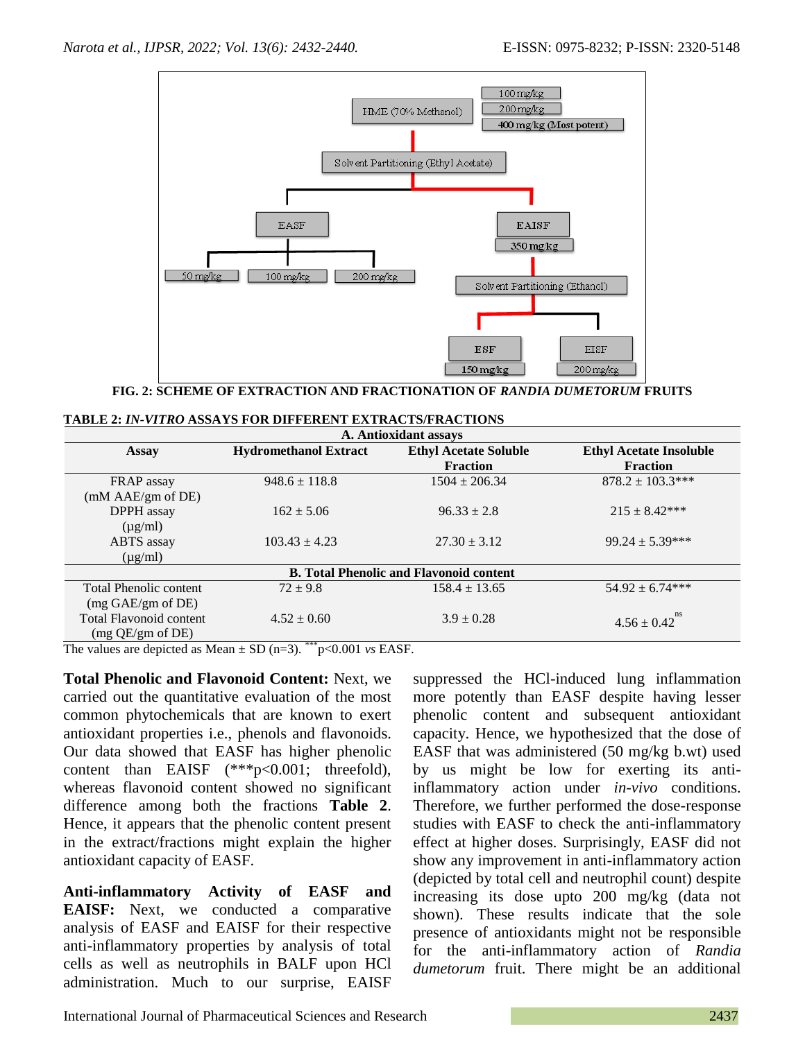

**FIG. 2: SCHEME OF EXTRACTION AND FRACTIONATION OF** *RANDIA DUMETORUM* **FRUITS**

|  | TABLE 2: IN-VITRO ASSAYS FOR DIFFERENT EXTRACTS/FRACTIONS |  |
|--|-----------------------------------------------------------|--|
|--|-----------------------------------------------------------|--|

| A. Antioxidant assays                          |                              |                              |                                |
|------------------------------------------------|------------------------------|------------------------------|--------------------------------|
| <b>Assay</b>                                   | <b>Hydromethanol Extract</b> | <b>Ethyl Acetate Soluble</b> | <b>Ethyl Acetate Insoluble</b> |
|                                                |                              | <b>Fraction</b>              | <b>Fraction</b>                |
| FRAP assay                                     | $948.6 \pm 118.8$            | $1504 \pm 206.34$            | $878.2 \pm 103.3***$           |
| (mM AAE/gm of DE)                              |                              |                              |                                |
| DPPH assay                                     | $162 \pm 5.06$               | $96.33 \pm 2.8$              | $215 \pm 8.42***$              |
| $(\mu g/ml)$                                   |                              |                              |                                |
| ABTS assay                                     | $103.43 \pm 4.23$            | $27.30 \pm 3.12$             | $99.24 \pm 5.39***$            |
| $(\mu g/ml)$                                   |                              |                              |                                |
| <b>B.</b> Total Phenolic and Flavonoid content |                              |                              |                                |
| Total Phenolic content                         | $72 \pm 9.8$                 | $158.4 \pm 13.65$            | $54.92 \pm 6.74***$            |
| (mg GAE/gm of DE)                              |                              |                              |                                |
| <b>Total Flavonoid content</b>                 | $4.52 \pm 0.60$              | $3.9 \pm 0.28$               | ns<br>$4.56 \pm 0.42$          |
| (mg QE/gm of DE)                               |                              |                              |                                |

The values are depicted as Mean  $\pm$  SD (n=3). \*\*\*p<0.001 *vs* EASF.

**Total Phenolic and Flavonoid Content:** Next, we carried out the quantitative evaluation of the most common phytochemicals that are known to exert antioxidant properties i.e., phenols and flavonoids. Our data showed that EASF has higher phenolic content than EAISF (\*\*\*p<0.001; threefold), whereas flavonoid content showed no significant difference among both the fractions **Table 2**. Hence, it appears that the phenolic content present in the extract/fractions might explain the higher antioxidant capacity of EASF.

**Anti-inflammatory Activity of EASF and EAISF:** Next, we conducted a comparative analysis of EASF and EAISF for their respective anti-inflammatory properties by analysis of total cells as well as neutrophils in BALF upon HCl administration. Much to our surprise, EAISF suppressed the HCl-induced lung inflammation more potently than EASF despite having lesser phenolic content and subsequent antioxidant capacity. Hence, we hypothesized that the dose of EASF that was administered (50 mg/kg b.wt) used by us might be low for exerting its antiinflammatory action under *in-vivo* conditions. Therefore, we further performed the dose-response studies with EASF to check the anti-inflammatory effect at higher doses. Surprisingly, EASF did not show any improvement in anti-inflammatory action (depicted by total cell and neutrophil count) despite increasing its dose upto 200 mg/kg (data not shown). These results indicate that the sole presence of antioxidants might not be responsible for the anti-inflammatory action of *Randia dumetorum* fruit. There might be an additional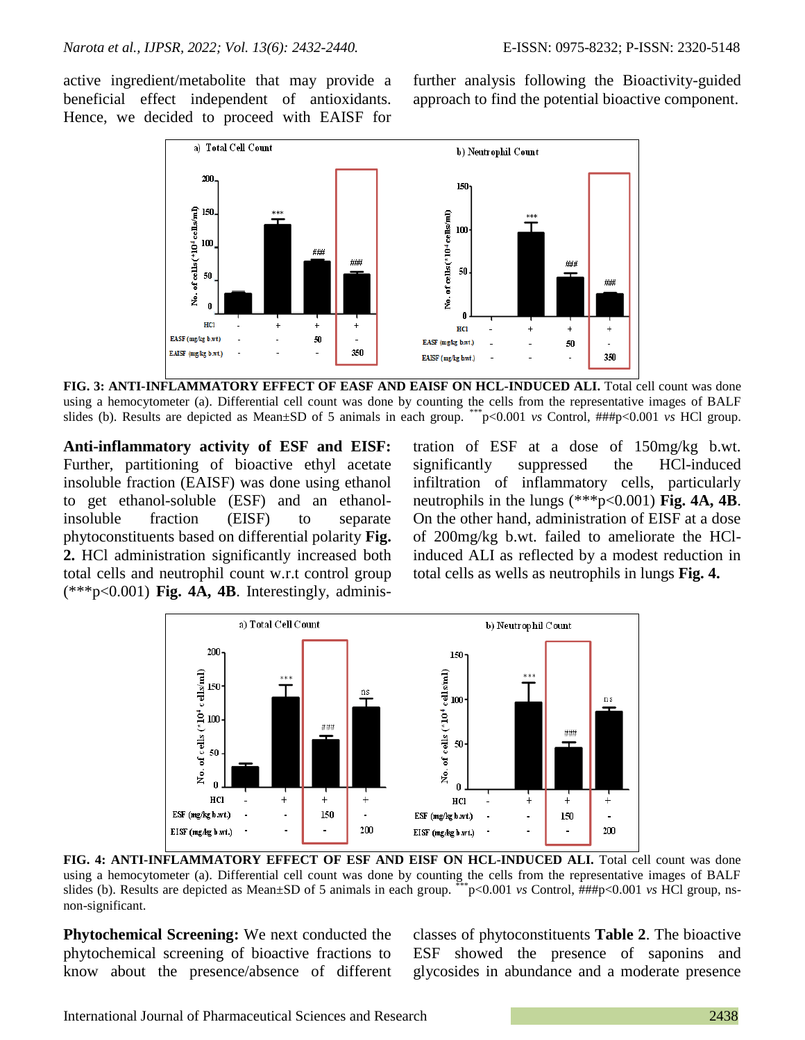active ingredient/metabolite that may provide a beneficial effect independent of antioxidants. Hence, we decided to proceed with EAISF for further analysis following the Bioactivity-guided approach to find the potential bioactive component.



**FIG. 3: ANTI-INFLAMMATORY EFFECT OF EASF AND EAISF ON HCL-INDUCED ALI.** Total cell count was done using a hemocytometer (a). Differential cell count was done by counting the cells from the representative images of BALF slides (b). Results are depicted as Mean±SD of 5 animals in each group. \*\*\*p<0.001 *vs* Control, ###p<0.001 *vs* HCl group.

**Anti-inflammatory activity of ESF and EISF:**  Further, partitioning of bioactive ethyl acetate insoluble fraction (EAISF) was done using ethanol to get ethanol-soluble (ESF) and an ethanolinsoluble fraction (EISF) to separate phytoconstituents based on differential polarity **Fig. 2.** HCl administration significantly increased both total cells and neutrophil count w.r.t control group (\*\*\*p<0.001) **Fig. 4A, 4B**. Interestingly, administration of ESF at a dose of 150mg/kg b.wt. significantly suppressed the HCl-induced infiltration of inflammatory cells, particularly neutrophils in the lungs (\*\*\*p<0.001) **Fig. 4A, 4B**. On the other hand, administration of EISF at a dose of 200mg/kg b.wt. failed to ameliorate the HClinduced ALI as reflected by a modest reduction in total cells as wells as neutrophils in lungs **Fig. 4.**



**FIG. 4: ANTI-INFLAMMATORY EFFECT OF ESF AND EISF ON HCL-INDUCED ALI.** Total cell count was done using a hemocytometer (a). Differential cell count was done by counting the cells from the representative images of BALF slides (b). Results are depicted as Mean±SD of 5 animals in each group. \*\*\*p<0.001 *vs* Control, ###p<0.001 *vs* HCl group, nsnon-significant.

**Phytochemical Screening:** We next conducted the phytochemical screening of bioactive fractions to know about the presence/absence of different classes of phytoconstituents **Table 2**. The bioactive ESF showed the presence of saponins and glycosides in abundance and a moderate presence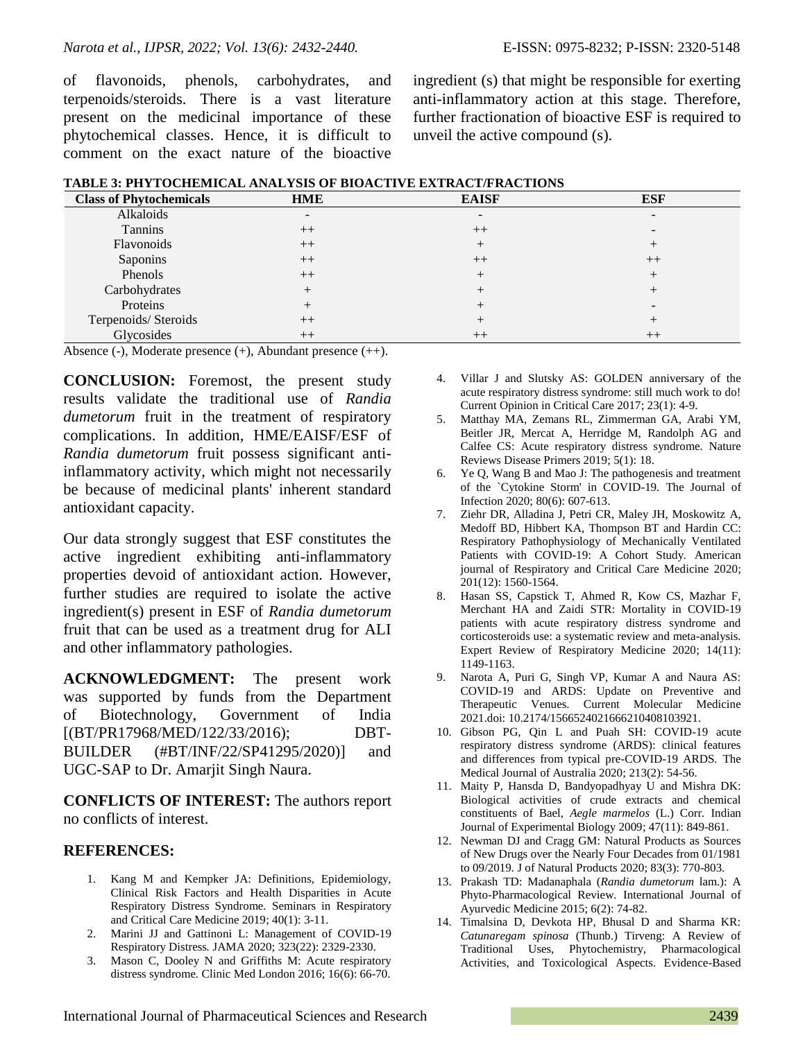of flavonoids, phenols, carbohydrates, and terpenoids/steroids. There is a vast literature present on the medicinal importance of these phytochemical classes. Hence, it is difficult to comment on the exact nature of the bioactive ingredient (s) that might be responsible for exerting anti-inflammatory action at this stage. Therefore, further fractionation of bioactive ESF is required to unveil the active compound (s).

|  | TABLE 3: PHYTOCHEMICAL ANALYSIS OF BIOACTIVE EXTRACT/FRACTIONS |
|--|----------------------------------------------------------------|
|--|----------------------------------------------------------------|

| <b>Class of Phytochemicals</b> | <b>HME</b>               | <b>EAISF</b> | <b>ESF</b> |
|--------------------------------|--------------------------|--------------|------------|
| Alkaloids                      | $\overline{\phantom{0}}$ |              |            |
| Tannins                        | $++$                     | $^{++}$      |            |
| Flavonoids                     | $++$                     |              |            |
| Saponins                       | $^{++}$                  | $^{++}$      | $++$       |
| Phenols                        | $++$                     |              |            |
| Carbohydrates                  |                          |              |            |
| Proteins                       |                          |              |            |
| Terpenoids/Steroids            | $^{++}$                  |              |            |
| Glycosides                     | $^{++}$                  | $^{++}$      | $^{++}$    |

Absence (-), Moderate presence (+), Abundant presence (++).

**CONCLUSION:** Foremost, the present study results validate the traditional use of *Randia dumetorum* fruit in the treatment of respiratory complications. In addition, HME/EAISF/ESF of *Randia dumetorum* fruit possess significant antiinflammatory activity, which might not necessarily be because of medicinal plants' inherent standard antioxidant capacity.

Our data strongly suggest that ESF constitutes the active ingredient exhibiting anti-inflammatory properties devoid of antioxidant action. However, further studies are required to isolate the active ingredient(s) present in ESF of *Randia dumetorum* fruit that can be used as a treatment drug for ALI and other inflammatory pathologies.

**ACKNOWLEDGMENT:** The present work was supported by funds from the Department of Biotechnology, Government of India [(BT/PR17968/MED/122/33/2016); DBT-BUILDER (#BT/INF/22/SP41295/2020)] and UGC-SAP to Dr. Amarjit Singh Naura.

**CONFLICTS OF INTEREST:** The authors report no conflicts of interest.

#### **REFERENCES:**

- 1. Kang M and Kempker JA: Definitions, Epidemiology, Clinical Risk Factors and Health Disparities in Acute Respiratory Distress Syndrome*.* Seminars in Respiratory and Critical Care Medicine 2019; 40(1): 3-11.
- 2. Marini JJ and Gattinoni L: Management of COVID-19 Respiratory Distress*.* JAMA 2020; 323(22): 2329-2330.
- 3. Mason C, Dooley N and Griffiths M: Acute respiratory distress syndrome*.* Clinic Med London 2016; 16(6): 66-70.
- 4. Villar J and Slutsky AS: GOLDEN anniversary of the acute respiratory distress syndrome: still much work to do! Current Opinion in Critical Care 2017; 23(1): 4-9.
- 5. Matthay MA, Zemans RL, Zimmerman GA, Arabi YM, Beitler JR, Mercat A, Herridge M, Randolph AG and Calfee CS: Acute respiratory distress syndrome*.* Nature Reviews Disease Primers 2019; 5(1): 18.
- 6. Ye Q, Wang B and Mao J: The pathogenesis and treatment of the `Cytokine Storm' in COVID-19*.* The Journal of Infection 2020; 80(6): 607-613.
- 7. Ziehr DR, Alladina J, Petri CR, Maley JH, Moskowitz A, Medoff BD, Hibbert KA, Thompson BT and Hardin CC: Respiratory Pathophysiology of Mechanically Ventilated Patients with COVID-19: A Cohort Study*.* American journal of Respiratory and Critical Care Medicine 2020; 201(12): 1560-1564.
- 8. Hasan SS, Capstick T, Ahmed R, Kow CS, Mazhar F, Merchant HA and Zaidi STR: Mortality in COVID-19 patients with acute respiratory distress syndrome and corticosteroids use: a systematic review and meta-analysis*.* Expert Review of Respiratory Medicine 2020; 14(11): 1149-1163.
- 9. Narota A, Puri G, Singh VP, Kumar A and Naura AS: COVID-19 and ARDS: Update on Preventive and Therapeutic Venues. Current Molecular Medicine 2021.doi: 10.2174/1566524021666210408103921.
- 10. Gibson PG, Qin L and Puah SH: COVID-19 acute respiratory distress syndrome (ARDS): clinical features and differences from typical pre-COVID-19 ARDS*.* The Medical Journal of Australia 2020; 213(2): 54-56.
- 11. Maity P, Hansda D, Bandyopadhyay U and Mishra DK: Biological activities of crude extracts and chemical constituents of Bael, *Aegle marmelos* (L.) Corr*.* Indian Journal of Experimental Biology 2009; 47(11): 849-861.
- 12. Newman DJ and Cragg GM: Natural Products as Sources of New Drugs over the Nearly Four Decades from 01/1981 to 09/2019*.* J of Natural Products 2020; 83(3): 770-803.
- 13. Prakash TD: Madanaphala (*Randia dumetorum* lam.): A Phyto-Pharmacological Review*.* International Journal of Ayurvedic Medicine 2015; 6(2): 74-82.
- 14. Timalsina D, Devkota HP, Bhusal D and Sharma KR: *Catunaregam spinosa* (Thunb.) Tirveng: A Review of Traditional Uses, Phytochemistry, Pharmacological Activities, and Toxicological Aspects. Evidence-Based